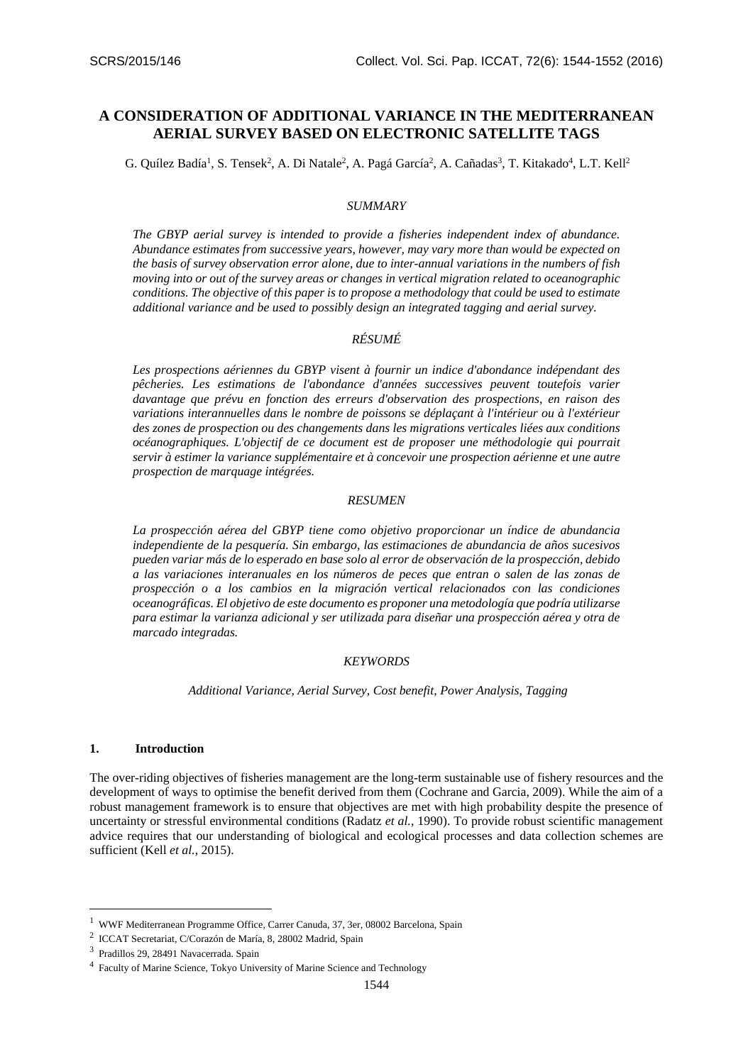# **A CONSIDERATION OF ADDITIONAL VARIANCE IN THE MEDITERRANEAN AERIAL SURVEY BASED ON ELECTRONIC SATELLITE TAGS**

G. Quílez Badía<sup>1</sup>, S. Tensek<sup>2</sup>, A. Di Natale<sup>2</sup>, A. Pagá García<sup>2</sup>, A. Cañadas<sup>3</sup>, T. Kitakado<sup>4</sup>, L.T. Kell<sup>2</sup>

### *SUMMARY*

*The GBYP aerial survey is intended to provide a fisheries independent index of abundance. Abundance estimates from successive years, however, may vary more than would be expected on the basis of survey observation error alone, due to inter-annual variations in the numbers of fish moving into or out of the survey areas or changes in vertical migration related to oceanographic conditions. The objective of this paper is to propose a methodology that could be used to estimate additional variance and be used to possibly design an integrated tagging and aerial survey.*

# *RÉSUMÉ*

*Les prospections aériennes du GBYP visent à fournir un indice d'abondance indépendant des pêcheries. Les estimations de l'abondance d'années successives peuvent toutefois varier davantage que prévu en fonction des erreurs d'observation des prospections, en raison des variations interannuelles dans le nombre de poissons se déplaçant à l'intérieur ou à l'extérieur des zones de prospection ou des changements dans les migrations verticales liées aux conditions océanographiques. L'objectif de ce document est de proposer une méthodologie qui pourrait servir à estimer la variance supplémentaire et à concevoir une prospection aérienne et une autre prospection de marquage intégrées.*

#### *RESUMEN*

*La prospección aérea del GBYP tiene como objetivo proporcionar un índice de abundancia independiente de la pesquería. Sin embargo, las estimaciones de abundancia de años sucesivos pueden variar más de lo esperado en base solo al error de observación de la prospección, debido a las variaciones interanuales en los números de peces que entran o salen de las zonas de prospección o a los cambios en la migración vertical relacionados con las condiciones oceanográficas. El objetivo de este documento es proponer una metodología que podría utilizarse para estimar la varianza adicional y ser utilizada para diseñar una prospección aérea y otra de marcado integradas.*

#### *KEYWORDS*

*Additional Variance, Aerial Survey, Cost benefit, Power Analysis, Tagging*

#### **1. Introduction**

<u>.</u>

The over-riding objectives of fisheries management are the long-term sustainable use of fishery resources and the development of ways to optimise the benefit derived from them (Cochrane and Garcia, 2009). While the aim of a robust management framework is to ensure that objectives are met with high probability despite the presence of uncertainty or stressful environmental conditions (Radatz *et al.*, 1990). To provide robust scientific management advice requires that our understanding of biological and ecological processes and data collection schemes are sufficient (Kell *et al.*, 2015).

<sup>1</sup> WWF Mediterranean Programme Office, Carrer Canuda, 37, 3er, 08002 Barcelona, Spain

<sup>2</sup> ICCAT Secretariat, C/Corazón de María, 8, 28002 Madrid, Spain

<sup>3</sup> Pradillos 29, 28491 Navacerrada. Spain

<sup>&</sup>lt;sup>4</sup> Faculty of Marine Science, Tokyo University of Marine Science and Technology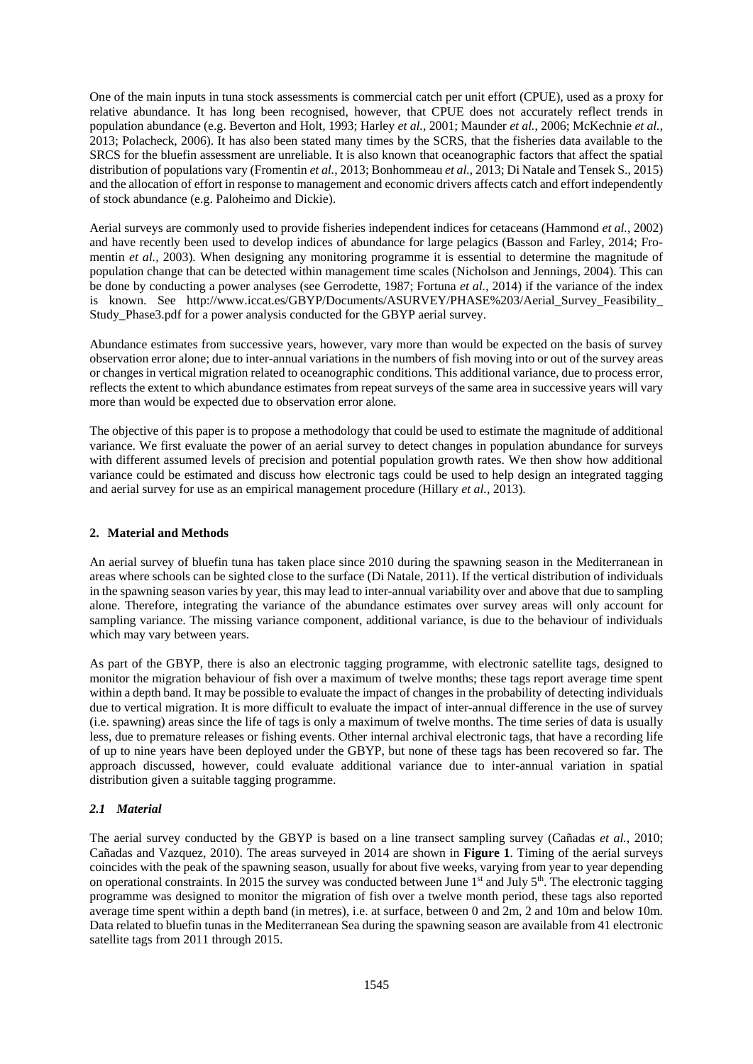One of the main inputs in tuna stock assessments is commercial catch per unit effort (CPUE), used as a proxy for relative abundance. It has long been recognised, however, that CPUE does not accurately reflect trends in population abundance (e.g. Beverton and Holt, 1993; Harley *et al.*, 2001; Maunder *et al.*, 2006; McKechnie *et al.*, 2013; Polacheck, 2006). It has also been stated many times by the SCRS, that the fisheries data available to the SRCS for the bluefin assessment are unreliable. It is also known that oceanographic factors that affect the spatial distribution of populations vary (Fromentin *et al.,* 2013; Bonhommeau *et al.*, 2013; Di Natale and Tensek S., 2015) and the allocation of effort in response to management and economic drivers affects catch and effort independently of stock abundance (e.g. Paloheimo and Dickie).

Aerial surveys are commonly used to provide fisheries independent indices for cetaceans (Hammond *et al.*, 2002) and have recently been used to develop indices of abundance for large pelagics (Basson and Farley, 2014; Fromentin *et al.*, 2003). When designing any monitoring programme it is essential to determine the magnitude of population change that can be detected within management time scales (Nicholson and Jennings, 2004). This can be done by conducting a power analyses (see Gerrodette, 1987; Fortuna *et al.*, 2014) if the variance of the index is known. See http://www.iccat.es/GBYP/Documents/ASURVEY/PHASE%203/Aerial Survey Feasibility Study Phase3.pdf for a power analysis conducted for the GBYP aerial survey.

Abundance estimates from successive years, however, vary more than would be expected on the basis of survey observation error alone; due to inter-annual variations in the numbers of fish moving into or out of the survey areas or changes in vertical migration related to oceanographic conditions. This additional variance, due to process error, reflects the extent to which abundance estimates from repeat surveys of the same area in successive years will vary more than would be expected due to observation error alone.

The objective of this paper is to propose a methodology that could be used to estimate the magnitude of additional variance. We first evaluate the power of an aerial survey to detect changes in population abundance for surveys with different assumed levels of precision and potential population growth rates. We then show how additional variance could be estimated and discuss how electronic tags could be used to help design an integrated tagging and aerial survey for use as an empirical management procedure (Hillary *et al.,* 2013).

## **2. Material and Methods**

An aerial survey of bluefin tuna has taken place since 2010 during the spawning season in the Mediterranean in areas where schools can be sighted close to the surface (Di Natale, 2011). If the vertical distribution of individuals in the spawning season varies by year, this may lead to inter-annual variability over and above that due to sampling alone. Therefore, integrating the variance of the abundance estimates over survey areas will only account for sampling variance. The missing variance component, additional variance, is due to the behaviour of individuals which may vary between years.

As part of the GBYP, there is also an electronic tagging programme, with electronic satellite tags, designed to monitor the migration behaviour of fish over a maximum of twelve months; these tags report average time spent within a depth band. It may be possible to evaluate the impact of changes in the probability of detecting individuals due to vertical migration. It is more difficult to evaluate the impact of inter-annual difference in the use of survey (i.e. spawning) areas since the life of tags is only a maximum of twelve months. The time series of data is usually less, due to premature releases or fishing events. Other internal archival electronic tags, that have a recording life of up to nine years have been deployed under the GBYP, but none of these tags has been recovered so far. The approach discussed, however, could evaluate additional variance due to inter-annual variation in spatial distribution given a suitable tagging programme.

# *2.1 Material*

The aerial survey conducted by the GBYP is based on a line transect sampling survey (Cañadas *et al.*, 2010; Cañadas and Vazquez, 2010). The areas surveyed in 2014 are shown in **Figure 1**. Timing of the aerial surveys coincides with the peak of the spawning season, usually for about five weeks, varying from year to year depending on operational constraints. In 2015 the survey was conducted between June 1st and July  $5<sup>th</sup>$ . The electronic tagging programme was designed to monitor the migration of fish over a twelve month period, these tags also reported average time spent within a depth band (in metres), i.e. at surface, between 0 and 2m, 2 and 10m and below 10m. Data related to bluefin tunas in the Mediterranean Sea during the spawning season are available from 41 electronic satellite tags from 2011 through 2015.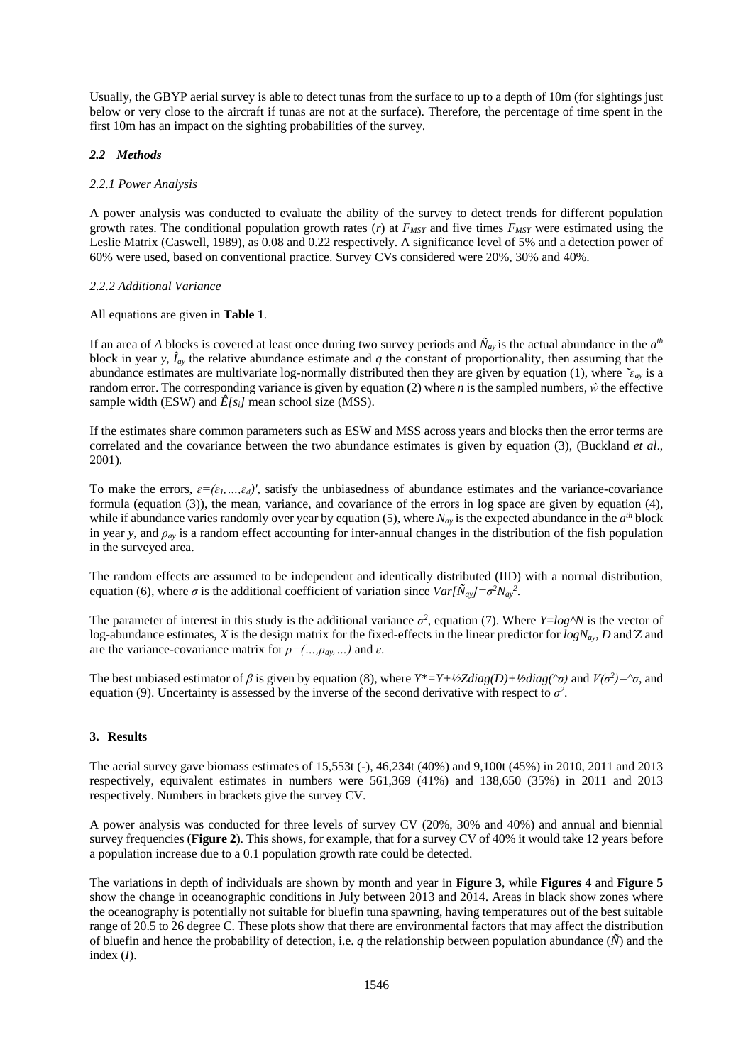Usually, the GBYP aerial survey is able to detect tunas from the surface to up to a depth of 10m (for sightings just below or very close to the aircraft if tunas are not at the surface). Therefore, the percentage of time spent in the first 10m has an impact on the sighting probabilities of the survey.

## *2.2 Methods*

## *2.2.1 Power Analysis*

A power analysis was conducted to evaluate the ability of the survey to detect trends for different population growth rates. The conditional population growth rates  $(r)$  at  $F_{MSY}$  and five times  $F_{MSY}$  were estimated using the Leslie Matrix (Caswell, 1989), as 0.08 and 0.22 respectively. A significance level of 5% and a detection power of 60% were used, based on conventional practice. Survey CVs considered were 20%, 30% and 40%.

## *2.2.2 Additional Variance*

### All equations are given in **Table 1**.

If an area of *A* blocks is covered at least once during two survey periods and  $\tilde{N}_{ay}$  is the actual abundance in the  $a^{th}$ block in year *y*,  $\hat{I}_{ay}$  the relative abundance estimate and *q* the constant of proportionality, then assuming that the abundance estimates are multivariate log-normally distributed then they are given by equation (1), where  $\tilde{c}_{\alpha y}$  is a random error. The corresponding variance is given by equation (2) where *n* is the sampled numbers, *ŵ* the effective sample width (ESW) and  $\hat{E}[s_i]$  mean school size (MSS).

If the estimates share common parameters such as ESW and MSS across years and blocks then the error terms are correlated and the covariance between the two abundance estimates is given by equation (3), (Buckland *et al*., 2001).

To make the errors,  $\varepsilon = (\varepsilon_1, \ldots, \varepsilon_d)'$ , satisfy the unbiasedness of abundance estimates and the variance-covariance formula (equation (3)), the mean, variance, and covariance of the errors in log space are given by equation (4), while if abundance varies randomly over year by equation (5), where  $N_{ay}$  is the expected abundance in the  $a^{th}$  block in year *y*, and  $\rho_{av}$  is a random effect accounting for inter-annual changes in the distribution of the fish population in the surveyed area.

The random effects are assumed to be independent and identically distributed (IID) with a normal distribution, equation (6), where  $\sigma$  is the additional coefficient of variation since  $Var[\tilde{N}_{ay}]=\sigma^2 N_{ay}^2$ .

The parameter of interest in this study is the additional variance  $\sigma^2$ , equation (7). Where *Y*=*log*<sup> $\wedge$ </sup>*N* is the vector of log-abundance estimates, *X* is the design matrix for the fixed-effects in the linear predictor for *logNay*, *D* and ̂*Z* and are the variance-covariance matrix for  $\rho = (..., \rho_{\alpha y}, ...)$  and  $\varepsilon$ .

The best unbiased estimator of  $\beta$  is given by equation (8), where  $Y^* = Y + \frac{1}{2Z}diag(D) + \frac{1}{2}diag(\gamma \sigma)$  and  $V(\sigma^2) = \gamma \sigma$ , and equation (9). Uncertainty is assessed by the inverse of the second derivative with respect to  $\sigma^2$ .

#### **3. Results**

The aerial survey gave biomass estimates of 15,553t (-), 46,234t (40%) and 9,100t (45%) in 2010, 2011 and 2013 respectively, equivalent estimates in numbers were 561,369 (41%) and 138,650 (35%) in 2011 and 2013 respectively. Numbers in brackets give the survey CV.

A power analysis was conducted for three levels of survey CV (20%, 30% and 40%) and annual and biennial survey frequencies (**Figure 2**). This shows, for example, that for a survey CV of 40% it would take 12 years before a population increase due to a 0.1 population growth rate could be detected.

The variations in depth of individuals are shown by month and year in **Figure 3**, while **Figures 4** and **Figure 5**  show the change in oceanographic conditions in July between 2013 and 2014. Areas in black show zones where the oceanography is potentially not suitable for bluefin tuna spawning, having temperatures out of the best suitable range of 20.5 to 26 degree C. These plots show that there are environmental factors that may affect the distribution of bluefin and hence the probability of detection, i.e. *q* the relationship between population abundance (*Ñ*) and the index (*I*).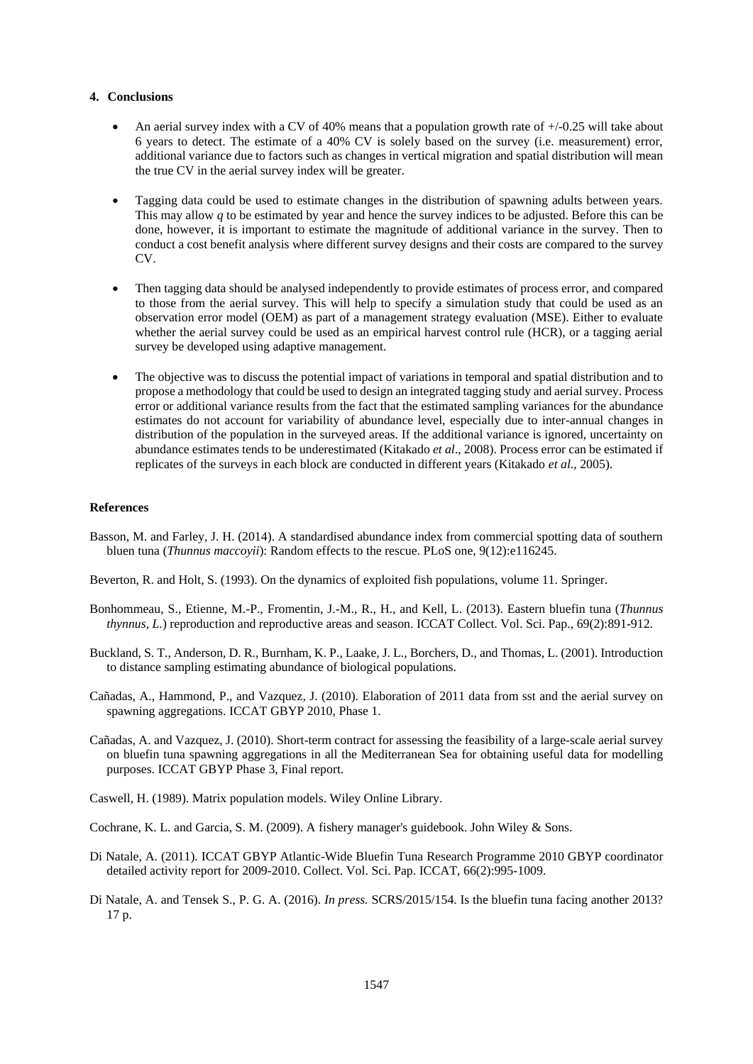### **4. Conclusions**

- An aerial survey index with a CV of 40% means that a population growth rate of +/-0.25 will take about 6 years to detect. The estimate of a 40% CV is solely based on the survey (i.e. measurement) error, additional variance due to factors such as changes in vertical migration and spatial distribution will mean the true CV in the aerial survey index will be greater.
- Tagging data could be used to estimate changes in the distribution of spawning adults between years. This may allow *q* to be estimated by year and hence the survey indices to be adjusted. Before this can be done, however, it is important to estimate the magnitude of additional variance in the survey. Then to conduct a cost benefit analysis where different survey designs and their costs are compared to the survey CV.
- Then tagging data should be analysed independently to provide estimates of process error, and compared to those from the aerial survey. This will help to specify a simulation study that could be used as an observation error model (OEM) as part of a management strategy evaluation (MSE). Either to evaluate whether the aerial survey could be used as an empirical harvest control rule (HCR), or a tagging aerial survey be developed using adaptive management.
- The objective was to discuss the potential impact of variations in temporal and spatial distribution and to propose a methodology that could be used to design an integrated tagging study and aerial survey. Process error or additional variance results from the fact that the estimated sampling variances for the abundance estimates do not account for variability of abundance level, especially due to inter-annual changes in distribution of the population in the surveyed areas. If the additional variance is ignored, uncertainty on abundance estimates tends to be underestimated (Kitakado *et al*., 2008). Process error can be estimated if replicates of the surveys in each block are conducted in different years (Kitakado *et al*., 2005).

#### **References**

- Basson, M. and Farley, J. H. (2014). A standardised abundance index from commercial spotting data of southern bluen tuna (*Thunnus maccoyii*): Random effects to the rescue. PLoS one, 9(12):e116245.
- Beverton, R. and Holt, S. (1993). On the dynamics of exploited fish populations, volume 11. Springer.
- Bonhommeau, S., Etienne, M.-P., Fromentin, J.-M., R., H., and Kell, L. (2013). Eastern bluefin tuna (*Thunnus thynnus, L.*) reproduction and reproductive areas and season. ICCAT Collect. Vol. Sci. Pap., 69(2):891-912.
- Buckland, S. T., Anderson, D. R., Burnham, K. P., Laake, J. L., Borchers, D., and Thomas, L. (2001). Introduction to distance sampling estimating abundance of biological populations.
- Cañadas, A., Hammond, P., and Vazquez, J. (2010). Elaboration of 2011 data from sst and the aerial survey on spawning aggregations. ICCAT GBYP 2010, Phase 1.
- Cañadas, A. and Vazquez, J. (2010). Short-term contract for assessing the feasibility of a large-scale aerial survey on bluefin tuna spawning aggregations in all the Mediterranean Sea for obtaining useful data for modelling purposes. ICCAT GBYP Phase 3, Final report.
- Caswell, H. (1989). Matrix population models. Wiley Online Library.

Cochrane, K. L. and Garcia, S. M. (2009). A fishery manager's guidebook. John Wiley & Sons.

- Di Natale, A. (2011). ICCAT GBYP Atlantic-Wide Bluefin Tuna Research Programme 2010 GBYP coordinator detailed activity report for 2009-2010. Collect. Vol. Sci. Pap. ICCAT, 66(2):995-1009.
- Di Natale, A. and Tensek S., P. G. A. (2016). *In press.* SCRS/2015/154. Is the bluefin tuna facing another 2013? 17 p.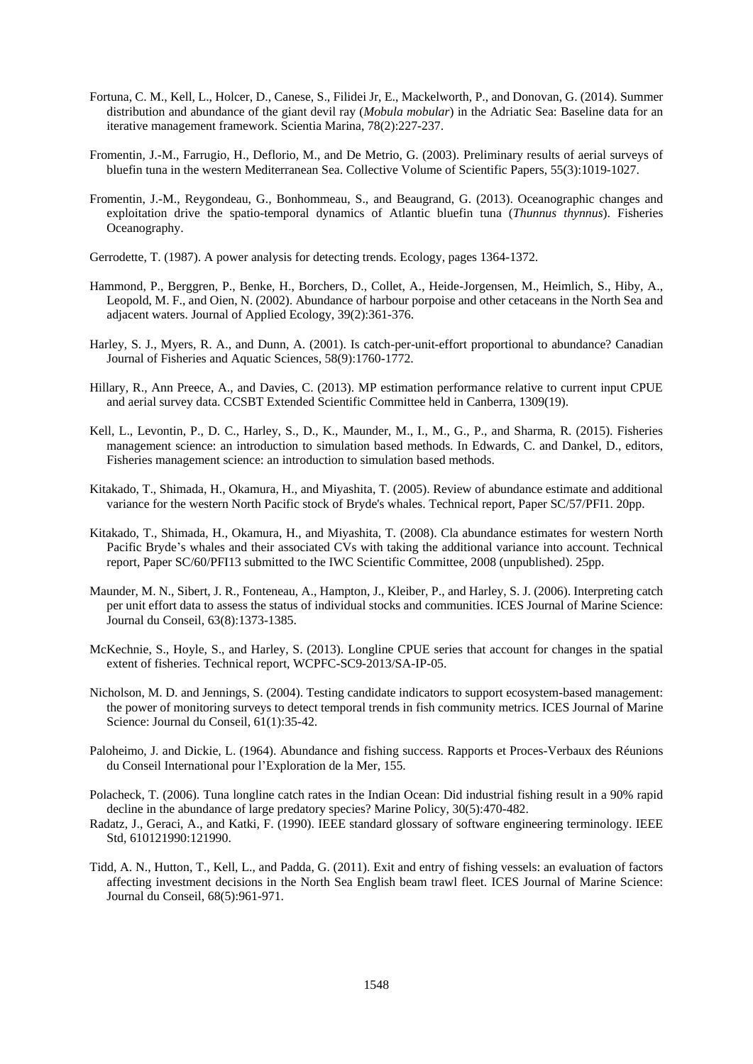- Fortuna, C. M., Kell, L., Holcer, D., Canese, S., Filidei Jr, E., Mackelworth, P., and Donovan, G. (2014). Summer distribution and abundance of the giant devil ray (*Mobula mobular*) in the Adriatic Sea: Baseline data for an iterative management framework. Scientia Marina, 78(2):227-237.
- Fromentin, J.-M., Farrugio, H., Deflorio, M., and De Metrio, G. (2003). Preliminary results of aerial surveys of bluefin tuna in the western Mediterranean Sea. Collective Volume of Scientific Papers, 55(3):1019-1027.
- Fromentin, J.-M., Reygondeau, G., Bonhommeau, S., and Beaugrand, G. (2013). Oceanographic changes and exploitation drive the spatio-temporal dynamics of Atlantic bluefin tuna (*Thunnus thynnus*). Fisheries Oceanography.
- Gerrodette, T. (1987). A power analysis for detecting trends. Ecology, pages 1364-1372.
- Hammond, P., Berggren, P., Benke, H., Borchers, D., Collet, A., Heide-Jorgensen, M., Heimlich, S., Hiby, A., Leopold, M. F., and Oien, N. (2002). Abundance of harbour porpoise and other cetaceans in the North Sea and adjacent waters. Journal of Applied Ecology, 39(2):361-376.
- Harley, S. J., Myers, R. A., and Dunn, A. (2001). Is catch-per-unit-effort proportional to abundance? Canadian Journal of Fisheries and Aquatic Sciences, 58(9):1760-1772.
- Hillary, R., Ann Preece, A., and Davies, C. (2013). MP estimation performance relative to current input CPUE and aerial survey data. CCSBT Extended Scientific Committee held in Canberra, 1309(19).
- Kell, L., Levontin, P., D. C., Harley, S., D., K., Maunder, M., I., M., G., P., and Sharma, R. (2015). Fisheries management science: an introduction to simulation based methods. In Edwards, C. and Dankel, D., editors, Fisheries management science: an introduction to simulation based methods.
- Kitakado, T., Shimada, H., Okamura, H., and Miyashita, T. (2005). Review of abundance estimate and additional variance for the western North Pacific stock of Bryde's whales. Technical report, Paper SC/57/PFI1. 20pp.
- Kitakado, T., Shimada, H., Okamura, H., and Miyashita, T. (2008). Cla abundance estimates for western North Pacific Bryde's whales and their associated CVs with taking the additional variance into account. Technical report, Paper SC/60/PFI13 submitted to the IWC Scientific Committee, 2008 (unpublished). 25pp.
- Maunder, M. N., Sibert, J. R., Fonteneau, A., Hampton, J., Kleiber, P., and Harley, S. J. (2006). Interpreting catch per unit effort data to assess the status of individual stocks and communities. ICES Journal of Marine Science: Journal du Conseil, 63(8):1373-1385.
- McKechnie, S., Hoyle, S., and Harley, S. (2013). Longline CPUE series that account for changes in the spatial extent of fisheries. Technical report, WCPFC-SC9-2013/SA-IP-05.
- Nicholson, M. D. and Jennings, S. (2004). Testing candidate indicators to support ecosystem-based management: the power of monitoring surveys to detect temporal trends in fish community metrics. ICES Journal of Marine Science: Journal du Conseil, 61(1):35-42.
- Paloheimo, J. and Dickie, L. (1964). Abundance and fishing success. Rapports et Proces-Verbaux des Réunions du Conseil International pour l'Exploration de la Mer, 155.
- Polacheck, T. (2006). Tuna longline catch rates in the Indian Ocean: Did industrial fishing result in a 90% rapid decline in the abundance of large predatory species? Marine Policy, 30(5):470-482.
- Radatz, J., Geraci, A., and Katki, F. (1990). IEEE standard glossary of software engineering terminology. IEEE Std, 610121990:121990.
- Tidd, A. N., Hutton, T., Kell, L., and Padda, G. (2011). Exit and entry of fishing vessels: an evaluation of factors affecting investment decisions in the North Sea English beam trawl fleet. ICES Journal of Marine Science: Journal du Conseil, 68(5):961-971.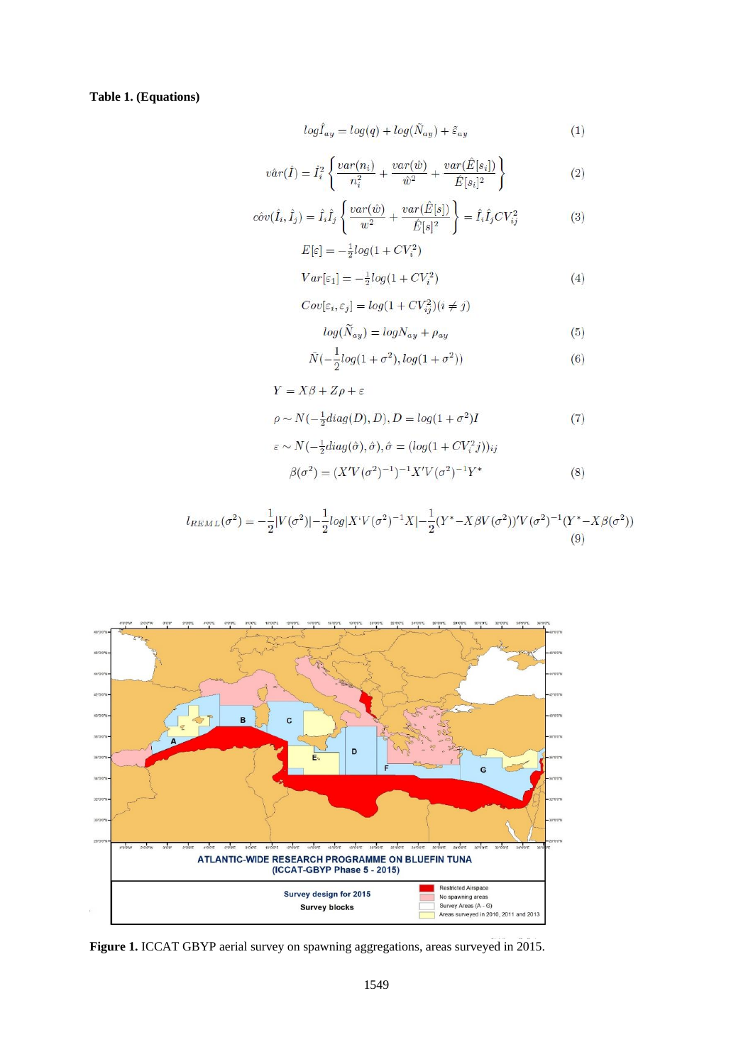# **Table 1. (Equations)**

$$
log\hat{I}_{ay} = log(q) + log(\tilde{N}_{ay}) + \tilde{\varepsilon}_{ay}
$$
\n(1)

$$
\hat{var}(\hat{I}) = \hat{I}_i^2 \left\{ \frac{var(n_i)}{n_i^2} + \frac{var(\hat{w})}{\hat{w}^2} + \frac{var(\hat{E}[s_i])}{\hat{E}[s_i]^2} \right\} \tag{2}
$$

$$
c\hat{v}v(\hat{I}_i, \hat{I}_j) = \hat{I}_i \hat{I}_j \left\{ \frac{var(\hat{w})}{w^2} + \frac{var(\hat{E}[s])}{\hat{E}[s]^2} \right\} = \hat{I}_i \hat{I}_j CV_{ij}^2 \tag{3}
$$

$$
E[\varepsilon] = -\frac{1}{2}log(1 + CV_i^2)
$$
  

$$
Var[\varepsilon_1] = -\frac{1}{2}log(1 + CV_i^2)
$$
 (4)

$$
Cov[\varepsilon_i, \varepsilon_j] = log(1 + CV_{ij}^2)(i \neq j)
$$

$$
log(\widetilde{N}_{ay}) = logN_{ay} + \rho_{ay} \tag{5}
$$

$$
\tilde{N}(-\frac{1}{2}log(1+\sigma^2), log(1+\sigma^2))\tag{6}
$$

$$
Y = X\beta + Z\rho + \varepsilon
$$
  
\n
$$
\rho \sim N(-\frac{1}{2}diag(D), D), D = log(1 + \sigma^2)I
$$
\n(7)

$$
\varepsilon \sim N(-\frac{1}{2}diag(\hat{\sigma}), \hat{\sigma}), \hat{\sigma} = (log(1 + CV_i^2 j))_{ij}
$$

$$
\beta(\sigma^2) = (X'V(\sigma^2)^{-1})^{-1}X'V(\sigma^2)^{-1}Y^*
$$
(8)

$$
l_{REML}(\sigma^2) = -\frac{1}{2}|V(\sigma^2)| - \frac{1}{2}log|X^i V(\sigma^2)^{-1} X| - \frac{1}{2}(Y^* - X\beta V(\sigma^2))'V(\sigma^2)^{-1}(Y^* - X\beta(\sigma^2))
$$
\n(9)



**Figure 1.** ICCAT GBYP aerial survey on spawning aggregations, areas surveyed in 2015.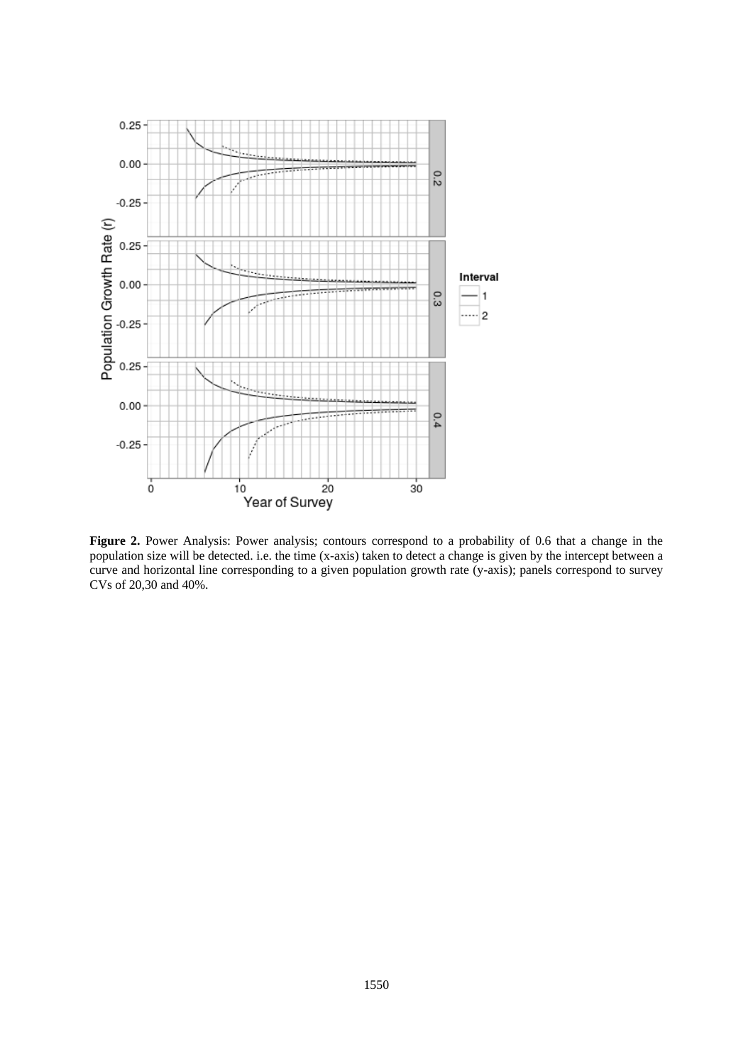

**Figure 2.** Power Analysis: Power analysis; contours correspond to a probability of 0.6 that a change in the population size will be detected. i.e. the time (x-axis) taken to detect a change is given by the intercept between a curve and horizontal line corresponding to a given population growth rate (y-axis); panels correspond to survey CVs of 20,30 and 40%.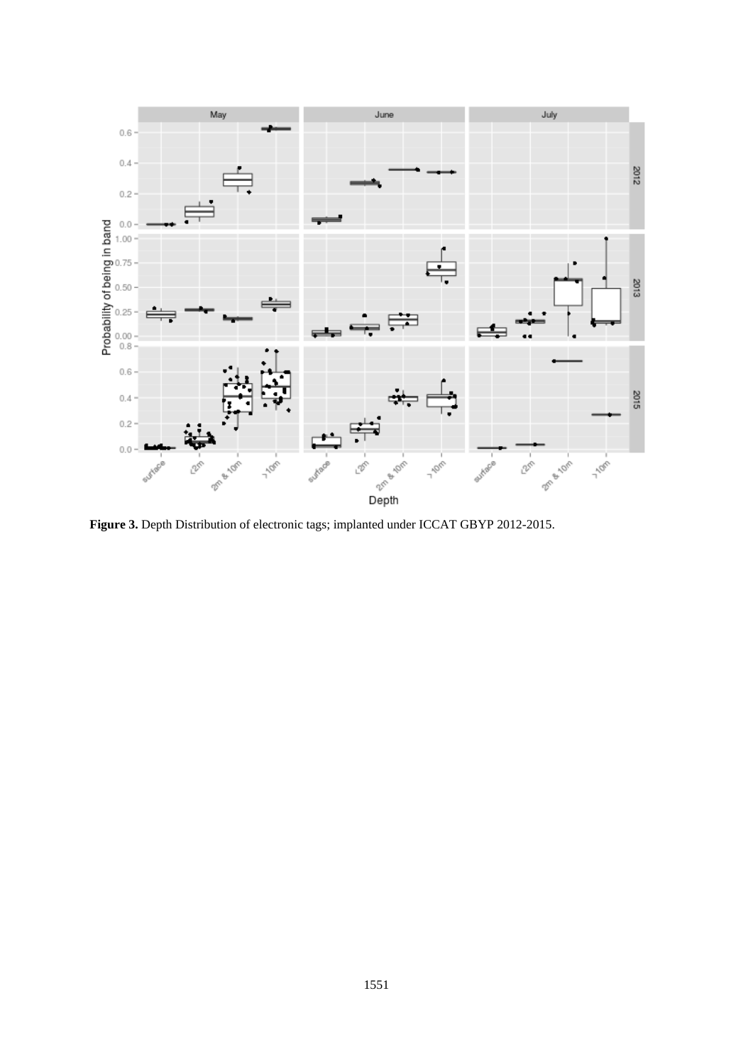

**Figure 3.** Depth Distribution of electronic tags; implanted under ICCAT GBYP 2012-2015.